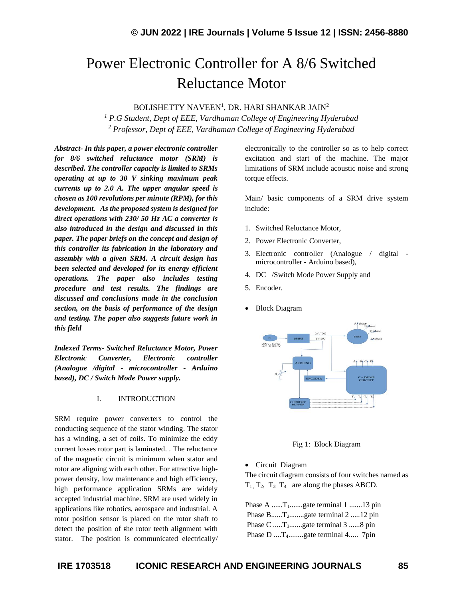# Power Electronic Controller for A 8/6 Switched Reluctance Motor

BOLISHETTY NAVEEN<sup>1</sup>, DR. HARI SHANKAR JAIN<sup>2</sup>

*<sup>1</sup> P.G Student, Dept of EEE, Vardhaman College of Engineering Hyderabad <sup>2</sup> Professor, Dept of EEE, Vardhaman College of Engineering Hyderabad*

*Abstract- In this paper, a power electronic controller for 8/6 switched reluctance motor (SRM) is described. The controller capacity is limited to SRMs operating at up to 30 V sinking maximum peak currents up to 2.0 A. The upper angular speed is chosen as 100 revolutions per minute (RPM), for this development. As the proposed system is designed for direct operations with 230/ 50 Hz AC a converter is also introduced in the design and discussed in this paper. The paper briefs on the concept and design of this controller its fabrication in the laboratory and assembly with a given SRM. A circuit design has been selected and developed for its energy efficient operations. The paper also includes testing procedure and test results. The findings are discussed and conclusions made in the conclusion section, on the basis of performance of the design and testing. The paper also suggests future work in this field*

*Indexed Terms- Switched Reluctance Motor, Power Electronic Converter, Electronic controller (Analogue /digital - microcontroller - Arduino based), DC / Switch Mode Power supply.*

#### I. INTRODUCTION

SRM require power converters to control the conducting sequence of the stator winding. The stator has a winding, a set of coils. To minimize the eddy current losses rotor part is laminated. . The reluctance of the magnetic circuit is minimum when stator and rotor are aligning with each other. For attractive highpower density, low maintenance and high efficiency, high performance application SRMs are widely accepted industrial machine. SRM are used widely in applications like robotics, aerospace and industrial. A rotor position sensor is placed on the rotor shaft to detect the position of the rotor teeth alignment with stator. The position is communicated electrically/ electronically to the controller so as to help correct excitation and start of the machine. The major limitations of SRM include acoustic noise and strong torque effects.

Main/ basic components of a SRM drive system include:

- 1. Switched Reluctance Motor,
- 2. Power Electronic Converter,
- 3. Electronic controller (Analogue / digital microcontroller - Arduino based),
- 4. DC /Switch Mode Power Supply and
- 5. Encoder.
- Block Diagram



Fig 1: Block Diagram

• Circuit Diagram

The circuit diagram consists of four switches named as  $T_1, T_2, T_3, T_4$  are along the phases ABCD.

|  | Phase A $T_1$ gate terminal 1 13 pin         |  |
|--|----------------------------------------------|--|
|  | Phase $B$ $T_2$ gate terminal 2 12 pin       |  |
|  | Phase $C$ $T_3$ gate terminal 3  8 pin       |  |
|  | Phase D  T <sub>4</sub> gate terminal 4 7pin |  |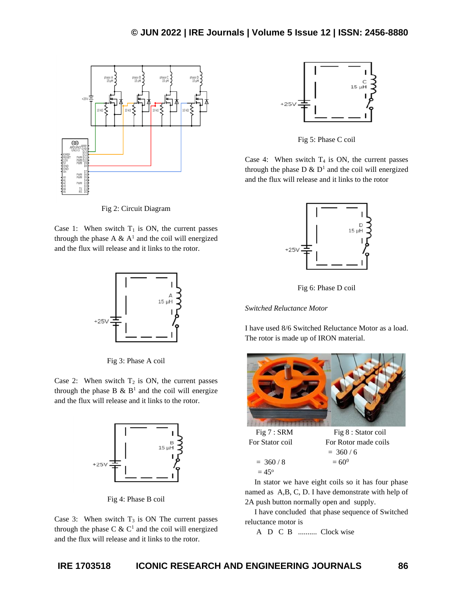

Fig 2: Circuit Diagram

Case 1: When switch  $T_1$  is ON, the current passes through the phase A  $\&$  A<sup>1</sup> and the coil will energized and the flux will release and it links to the rotor.



Fig 3: Phase A coil

Case 2: When switch  $T_2$  is ON, the current passes through the phase  $B \& B^1$  and the coil will energize and the flux will release and it links to the rotor.



Fig 4: Phase B coil

Case 3: When switch  $T_3$  is ON The current passes through the phase  $C \& C<sup>1</sup>$  and the coil will energized and the flux will release and it links to the rotor.



Fig 5: Phase C coil

Case 4: When switch  $T_4$  is ON, the current passes through the phase  $D \& D^1$  and the coil will energized and the flux will release and it links to the rotor



Fig 6: Phase D coil

## *Switched Reluctance Motor*

I have used 8/6 Switched Reluctance Motor as a load. The rotor is made up of IRON material.





Fig 7 : SRM Fig 8 : Stator coil For Stator coil For Rotor made coils  $= 360 / 6$ 

 $= 360 / 8$   $= 60^0$  $= 45^{\circ}$ 

 In stator we have eight coils so it has four phase named as A,B, C, D. I have demonstrate with help of

2A push button normally open and supply. I have concluded that phase sequence of Switched

reluctance motor is

A D C B .......... Clock wise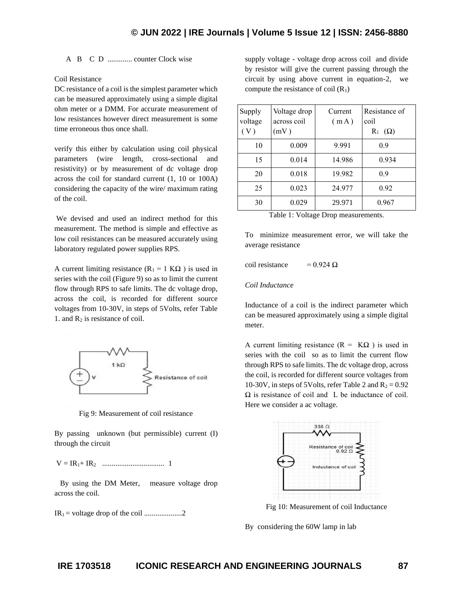A B C D ............. counter Clock wise

### Coil Resistance

DC resistance of a coil is the simplest parameter which can be measured approximately using a simple digital ohm meter or a DMM. For accurate measurement of low resistances however direct measurement is some time erroneous thus once shall.

verify this either by calculation using coil physical parameters (wire length, cross-sectional and resistivity) or by measurement of dc voltage drop across the coil for standard current (1, 10 or 100A) considering the capacity of the wire/ maximum rating of the coil.

We devised and used an indirect method for this measurement. The method is simple and effective as low coil resistances can be measured accurately using laboratory regulated power supplies RPS.

A current limiting resistance  $(R_1 = 1 K\Omega)$  is used in series with the coil (Figure 9) so as to limit the current flow through RPS to safe limits. The dc voltage drop, across the coil, is recorded for different source voltages from 10-30V, in steps of 5Volts, refer Table 1. and  $R_2$  is resistance of coil.



Fig 9: Measurement of coil resistance

By passing unknown (but permissible) current (I) through the circuit

V = IR1+ IR2 ................................. 1

 By using the DM Meter, measure voltage drop across the coil.

IR1 = voltage drop of the coil ....................2

supply voltage - voltage drop across coil and divide by resistor will give the current passing through the circuit by using above current in equation-2, we compute the resistance of coil  $(R_1)$ 

| Supply<br>voltage<br>(V) | Voltage drop<br>across coil<br>(mV) | Current<br>(mA) | Resistance of<br>coil<br>$R_1$ ( $\Omega$ ) |
|--------------------------|-------------------------------------|-----------------|---------------------------------------------|
| 10                       | 0.009                               | 9.991           | 0.9                                         |
| 15                       | 0.014                               | 14.986          | 0.934                                       |
| 20                       | 0.018                               | 19.982          | 0.9                                         |
| 25                       | 0.023                               | 24.977          | 0.92                                        |
| 30                       | 0.029                               | 29.971          | 0.967                                       |

|  |  | Table 1: Voltage Drop measurements. |
|--|--|-------------------------------------|
|  |  |                                     |

To minimize measurement error, we will take the average resistance

coil resistance =  $0.924 \Omega$ 

#### *Coil Inductance*

Inductance of a coil is the indirect parameter which can be measured approximately using a simple digital meter.

A current limiting resistance  $(R = K\Omega)$  is used in series with the coil so as to limit the current flow through RPS to safe limits. The dc voltage drop, across the coil, is recorded for different source voltages from 10-30V, in steps of 5Volts, refer Table 2 and  $R_2 = 0.92$  $\Omega$  is resistance of coil and L be inductance of coil. Here we consider a ac voltage.



Fig 10: Measurement of coil Inductance

By considering the 60W lamp in lab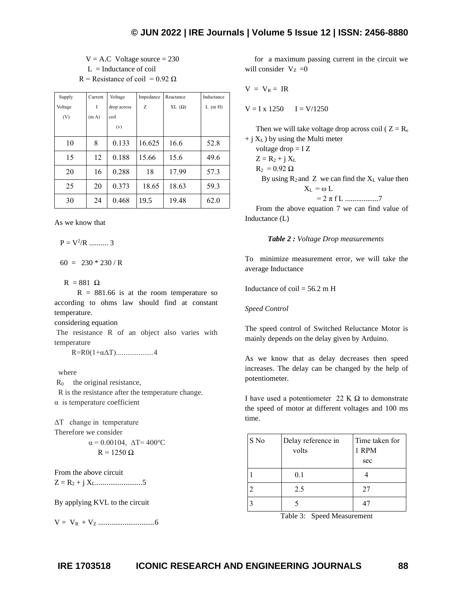$V = A.C$  Voltage source  $= 230$  $L = Inductance of coil$ R = Resistance of coil = 0.92  $\Omega$ 

| Supply  | Current           | Voltage     | Impedance | Reactance | Inductance |
|---------|-------------------|-------------|-----------|-----------|------------|
| Voltage | I                 | drop across | Ζ         | XL(Ω)     | $L$ (m H)  |
| (V)     | (m <sub>A</sub> ) | coil        |           |           |            |
|         |                   | (v)         |           |           |            |
| 10      | 8                 | 0.133       | 16.625    | 16.6      | 52.8       |
| 15      | 12                | 0.188       | 15.66     | 15.6      | 49.6       |
| 20      | 16                | 0.288       | 18        | 17.99     | 57.3       |
| 25      | 20                | 0.373       | 18.65     | 18.63     | 59.3       |
| 30      | 24                | 0.468       | 19.5      | 19.48     | 62.0       |

As we know that

 $P = V^2/R$  .......... 3

 $60 = 230 * 230 / R$ 

 $R = 881 \Omega$ 

 $R = 881.66$  is at the room temperature so according to ohms law should find at constant temperature.

considering equation

The resistance R of an object also varies with temperature

R=R0(1+αΔT)....................4

where

R0 the original resistance,

 R is the resistance after the temperature change. α is temperature coefficient

ΔT change in temperature Therefore we consider  $\alpha = 0.00104$ ,  $\Delta T = 400^{\circ}C$ 

 $R = 1250 \Omega$ 

From the above circuit Z = R<sup>2</sup> + j XL.........................5

By applying KVL to the circuit

V = VR + V<sup>Z</sup> ..............................6

 for a maximum passing current in the circuit we will consider  $V_Z = 0$ 

$$
V = V_R = IR
$$

 $V = I x 1250$   $I = V/1250$ 

Then we will take voltage drop across coil ( $Z = R_e$ )  $+$  j  $X_L$ ) by using the Multi meter

voltage drop = I Z  $Z = R_2 + i X_L$  $R_2 = 0.92 \Omega$ By using  $R_2$  and Z we can find the  $X_L$  value then  $X_L = \omega L$ = 2 π f L ..................7

From the above equation 7 we can find value of Inductance (L)

 *Table 2 : Voltage Drop measurements*

To minimize measurement error, we will take the average Inductance

Inductance of coil =  $56.2 \text{ m H}$ 

*Speed Control*

The speed control of Switched Reluctance Motor is mainly depends on the delay given by Arduino.

As we know that as delay decreases then speed increases. The delay can be changed by the help of potentiometer.

I have used a potentiometer 22 K  $\Omega$  to demonstrate the speed of motor at different voltages and 100 ms time.

| S No | Delay reference in<br>volts | Time taken for<br>1 RPM<br>sec |
|------|-----------------------------|--------------------------------|
|      | 0.1                         |                                |
|      | 2.5                         | 27                             |
|      |                             | $4^{r}$                        |

Table 3: Speed Measurement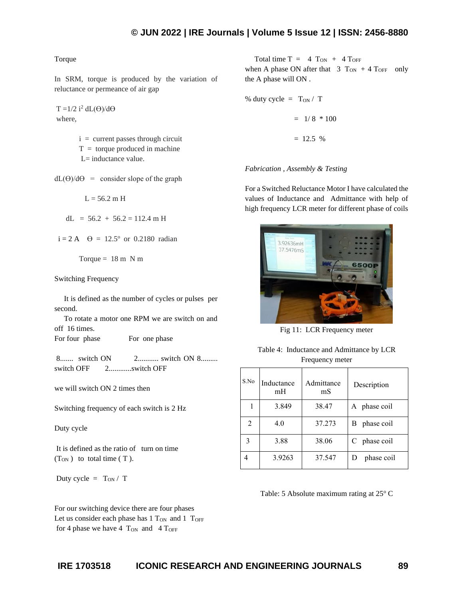#### Torque

In SRM, torque is produced by the variation of reluctance or permeance of air gap

 $T = 1/2$  i<sup>2</sup> dL( $\Theta$ )/d $\Theta$ where,

> $i =$  current passes through circuit  $T =$  torque produced in machine L= inductance value.

 $dL(\Theta)/d\Theta$  = consider slope of the graph

 $L = 56.2$  m H

 $dL = 56.2 + 56.2 = 112.4 \text{ m H}$ 

 $i = 2 A \quad \Theta = 12.5^{\circ} \text{ or } 0.2180 \text{ radian}$ 

Torque  $= 18$  m N m

Switching Frequency

 It is defined as the number of cycles or pulses per second.

 To rotate a motor one RPM we are switch on and off 16 times.

For four phase For one phase

8........ switch ON 2............ switch ON 8......... switch OFF 2............switch OFF

we will switch ON 2 times then

Switching frequency of each switch is 2 Hz

Duty cycle

It is defined as the ratio of turn on time  $(T<sub>ON</sub>)$  to total time  $(T)$ .

Duty cycle =  $T_{ON}/T$ 

Total time  $T = 4$   $T_{ON} + 4$   $T_{OFF}$ when A phase ON after that  $3 T_{ON} + 4 T_{OFF}$  only the A phase will ON .

% duty cycle = 
$$
T_{ON} / T
$$
  
= 1/8 \* 100

*Fabrication , Assembly & Testing*

 $= 12.5 %$ 

For a Switched Reluctance Motor I have calculated the values of Inductance and Admittance with help of high frequency LCR meter for different phase of coils



Fig 11: LCR Frequency meter

| Table 4: Inductance and Admittance by LCR |
|-------------------------------------------|
| Frequency meter                           |

| S.No           | Inductance<br>mH | Admittance<br>mS | Description  |
|----------------|------------------|------------------|--------------|
|                | 3.849            | 38.47            | A phase coil |
| $\overline{2}$ | 4.0              | 37.273           | B phase coil |
|                | 3.88             | 38.06            | C phase coil |
|                | 3.9263           | 37.547           | phase coil   |

Table: 5 Absolute maximum rating at 25° C

For our switching device there are four phases Let us consider each phase has  $1$  T<sub>ON</sub> and  $1$  T<sub>OFF</sub> for 4 phase we have 4  $T_{ON}$  and 4  $T_{OFF}$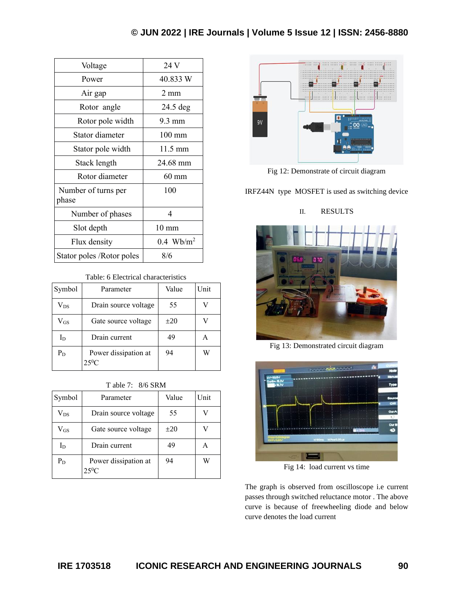| Voltage                      | 24 V              |
|------------------------------|-------------------|
| Power                        | 40.833 W          |
| Air gap                      | $2 \text{ mm}$    |
| Rotor angle                  | $24.5$ deg        |
| Rotor pole width             | $9.3 \text{ mm}$  |
| Stator diameter              | $100 \text{ mm}$  |
| Stator pole width            | $11.5 \text{ mm}$ |
| Stack length                 | 24.68 mm          |
| Rotor diameter               | $60 \text{ mm}$   |
| Number of turns per<br>phase | 100               |
| Number of phases             | 4                 |
| Slot depth                   | $10 \text{ mm}$   |
| Flux density                 | $0.4 \ \ Wb/m^2$  |
| Stator poles / Rotor poles   | 8/6               |

## Table: 6 Electrical characteristics

| Symbol       | Parameter                       | Value    | Unit |
|--------------|---------------------------------|----------|------|
| $\rm V_{DS}$ | Drain source voltage            | 55       |      |
| $\rm V_{GS}$ | Gate source voltage             | $\pm 20$ |      |
| $I_D$        | Drain current                   | 49       | А    |
| $P_D$        | Power dissipation at<br>$25^0C$ | 94       | W    |

## T able 7: 8/6 SRM

| Symbol       | Parameter                    | Value    | Unit |
|--------------|------------------------------|----------|------|
| $\rm V_{DS}$ | Drain source voltage         | 55       |      |
| $\rm V_{GS}$ | Gate source voltage          | $\pm 20$ |      |
| $_{\rm I_D}$ | Drain current                | 49       | А    |
| $P_D$        | Power dissipation at<br>250C | 94       | W    |



Fig 12: Demonstrate of circuit diagram

IRFZ44N type MOSFET is used as switching device

# II. RESULTS



Fig 13: Demonstrated circuit diagram



Fig 14: load current vs time

The graph is observed from oscilloscope i.e current passes through switched reluctance motor . The above curve is because of freewheeling diode and below curve denotes the load current